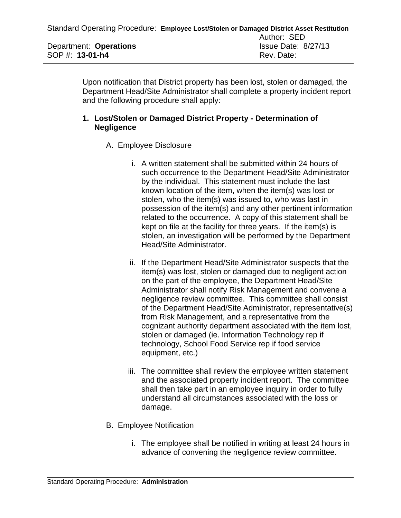Upon notification that District property has been lost, stolen or damaged, the Department Head/Site Administrator shall complete a property incident report and the following procedure shall apply:

## **1. Lost/Stolen or Damaged District Property - Determination of Negligence**

- A. Employee Disclosure
	- i. A written statement shall be submitted within 24 hours of such occurrence to the Department Head/Site Administrator by the individual. This statement must include the last known location of the item, when the item(s) was lost or stolen, who the item(s) was issued to, who was last in possession of the item(s) and any other pertinent information related to the occurrence. A copy of this statement shall be kept on file at the facility for three years. If the item(s) is stolen, an investigation will be performed by the Department Head/Site Administrator.
	- ii. If the Department Head/Site Administrator suspects that the item(s) was lost, stolen or damaged due to negligent action on the part of the employee, the Department Head/Site Administrator shall notify Risk Management and convene a negligence review committee. This committee shall consist of the Department Head/Site Administrator, representative(s) from Risk Management, and a representative from the cognizant authority department associated with the item lost, stolen or damaged (ie. Information Technology rep if technology, School Food Service rep if food service equipment, etc.)
	- iii. The committee shall review the employee written statement and the associated property incident report. The committee shall then take part in an employee inquiry in order to fully understand all circumstances associated with the loss or damage.
- B. Employee Notification
	- i. The employee shall be notified in writing at least 24 hours in advance of convening the negligence review committee.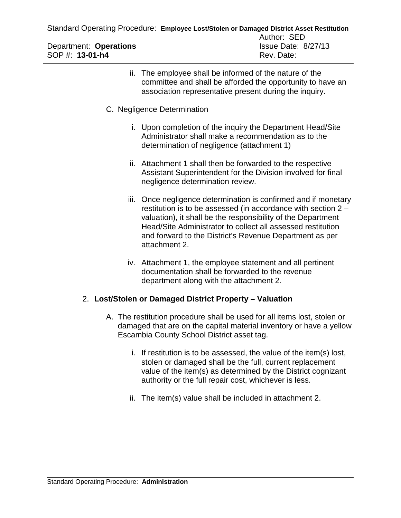|                        | Standard Operating Procedure: Employee Lost/Stolen or Damaged District Asset Restitution |
|------------------------|------------------------------------------------------------------------------------------|
|                        | Author: SED                                                                              |
| Department: Operations | <b>Issue Date: 8/27/13</b>                                                               |
| SOP #: $13-01-h4$      | Rev. Date:                                                                               |

- ii. The employee shall be informed of the nature of the committee and shall be afforded the opportunity to have an association representative present during the inquiry.
- C. Negligence Determination
	- i. Upon completion of the inquiry the Department Head/Site Administrator shall make a recommendation as to the determination of negligence (attachment 1)
	- ii. Attachment 1 shall then be forwarded to the respective Assistant Superintendent for the Division involved for final negligence determination review.
	- iii. Once negligence determination is confirmed and if monetary restitution is to be assessed (in accordance with section 2 – valuation), it shall be the responsibility of the Department Head/Site Administrator to collect all assessed restitution and forward to the District's Revenue Department as per attachment 2.
	- iv. Attachment 1, the employee statement and all pertinent documentation shall be forwarded to the revenue department along with the attachment 2.

## 2. **Lost/Stolen or Damaged District Property – Valuation**

- A. The restitution procedure shall be used for all items lost, stolen or damaged that are on the capital material inventory or have a yellow Escambia County School District asset tag.
	- i. If restitution is to be assessed, the value of the item(s) lost, stolen or damaged shall be the full, current replacement value of the item(s) as determined by the District cognizant authority or the full repair cost, whichever is less.
	- ii. The item(s) value shall be included in attachment 2.